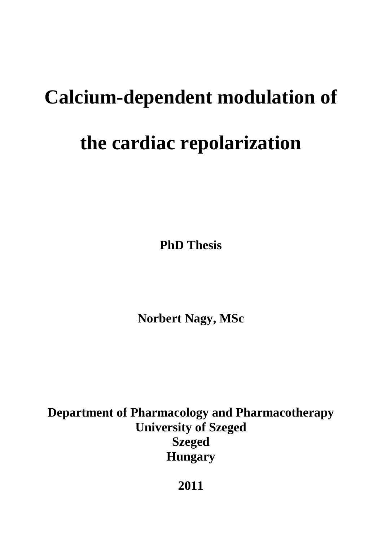# **Calcium-dependent modulation of**

# **the cardiac repolarization**

**PhD Thesis** 

**Norbert Nagy, MSc** 

**Department of Pharmacology and Pharmacotherapy University of Szeged Szeged Hungary** 

**2011**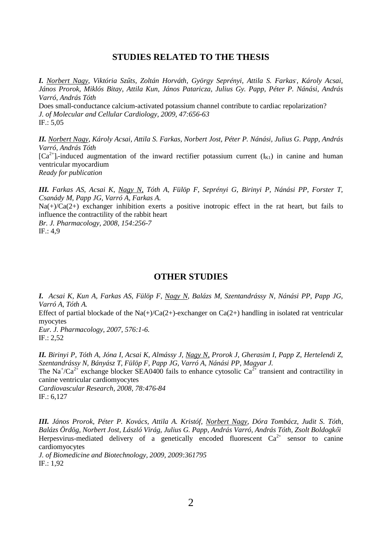#### **STUDIES RELATED TO THE THESIS**

I. *<u>Norbert Nagy</u>, Viktória Szűts, Zoltán Horváth, György Seprényi, Attila S. Farkas, Károly Acsai, János Prorok, Miklós Bitay, Attila Kun, János Pataricza, Julius Gy. Papp, Péter P. Nánási, András Varró, András Tóth*

Does small-conductance calcium-activated potassium channel contribute to cardiac repolarization? *J. of Molecular and Cellular Cardiology, 2009, 47:656-63*   $IF: 5.05$ 

*II. Norbert Nagy, Károly Acsai, Attila S. Farkas, Norbert Jost, Péter P. Nánási, Julius G. Papp, András Varró, András Tóth*  $[Ca^{2+}]\rightarrow$ induced augmentation of the inward rectifier potassium current  $(I_{K1})$  in canine and human ventricular myocardium *Ready for publication* 

*III. Farkas AS, Acsai K, Nagy N, Tóth A, Fülöp F, Seprényi G, Birinyi P, Nánási PP, Forster T, Csanády M, Papp JG, Varró A, Farkas A.* 

 $Na(+)/Ca(2+)$  exchanger inhibition exerts a positive inotropic effect in the rat heart, but fails to influence the contractility of the rabbit heart

*Br. J. Pharmacology, 2008, 154:256-7* IF.: 4,9

#### **OTHER STUDIES**

*I. Acsai K, Kun A, Farkas AS, Fülöp F, Nagy N, Balázs M, Szentandrássy N, Nánási PP, Papp JG, Varró A, Tóth A.*  Effect of partial blockade of the Na(+)/Ca(2+)-exchanger on Ca(2+) handling in isolated rat ventricular myocytes *Eur. J. Pharmacology, 2007, 576:1-6.*  IF.: 2,52

*II. Birinyi P, Tóth A, Jóna I, Acsai K, Almássy J, Nagy N, Prorok J, Gherasim I, Papp Z, Hertelendi Z, Szentandrássy N, Bányász T, Fülöp F, Papp JG, Varró A, Nánási PP, Magyar J.*  The Na<sup>+</sup>/Ca<sup>2+</sup> exchange blocker SEA0400 fails to enhance cytosolic Ca<sup>2+</sup> transient and contractility in canine ventricular cardiomyocytes *Cardiovascular Research, 2008, 78:476-84* 

IF.: 6,127

*III. János Prorok, Péter P. Kovács, Attila A. Kristóf, Norbert Nagy, Dóra Tombácz, Judit S. Tóth, Balázs Ördög, Norbert Jost, László Virág, Julius G. Papp, András Varró, András Tóth, Zsolt Boldogk*ő*i*  Herpesvirus-mediated delivery of a genetically encoded fluorescent  $Ca<sup>2+</sup>$  sensor to canine cardiomyocytes *J. of Biomedicine and Biotechnology, 2009, 2009:361795* 

IF.: 1,92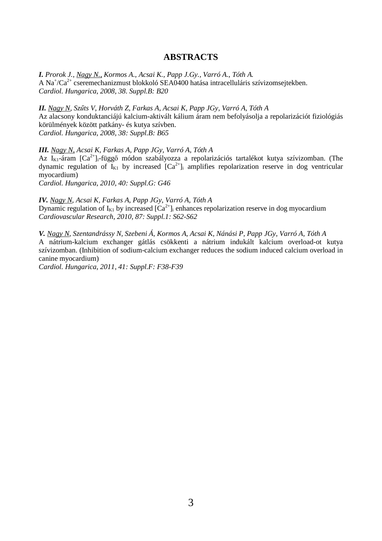#### **ABSTRACTS**

*I. Prorok J., Nagy N., Kormos A., Acsai K., Papp J.Gy., Varró A., Tóth A.* A Na<sup>+</sup>/Ca<sup>2+</sup> cseremechanizmust blokkoló SEA0400 hatása intracelluláris szívizomsejtekben. *Cardiol. Hungarica, 2008, 38. Suppl.B: B20* 

*II. Nagy N, Sz*ű*ts V, Horváth Z, Farkas A, Acsai K, Papp JGy, Varró A, Tóth A*  Az alacsony konduktanciájú kalcium-aktivált kálium áram nem befolyásolja a repolarizációt fiziológiás körülmények között patkány- és kutya szívben. *Cardiol. Hungarica, 2008, 38: Suppl.B: B65* 

*III. Nagy N, Acsai K, Farkas A, Papp JGy, Varró A, Tóth A* 

Az  $I_{K1}$ -áram  $[Ca^{2+}]+$ függő módon szabályozza a repolarizációs tartalékot kutya szívizomban. (The dynamic regulation of  $I_{K1}$  by increased  $[Ca^{2+}]_i$  amplifies repolarization reserve in dog ventricular myocardium)

*Cardiol. Hungarica, 2010, 40: Suppl.G: G46* 

*IV. Nagy N, Acsai K, Farkas A, Papp JGy, Varró A, Tóth A* Dynamic regulation of  $I_{K1}$  by increased  $[Ca^{2+}$ <sub>i</sub> enhances repolarization reserve in dog myocardium *Cardiovascular Research, 2010, 87: Suppl.1: S62-S62* 

*V. Nagy N, Szentandrássy N, Szebeni Á, Kormos A, Acsai K, Nánási P, Papp JGy, Varró A, Tóth A* A nátrium-kalcium exchanger gátlás csökkenti a nátrium indukált kalcium overload-ot kutya szívizomban. (Inhibition of sodium-calcium exchanger reduces the sodium induced calcium overload in canine myocardium)

*Cardiol. Hungarica, 2011, 41: Suppl.F: F38-F39*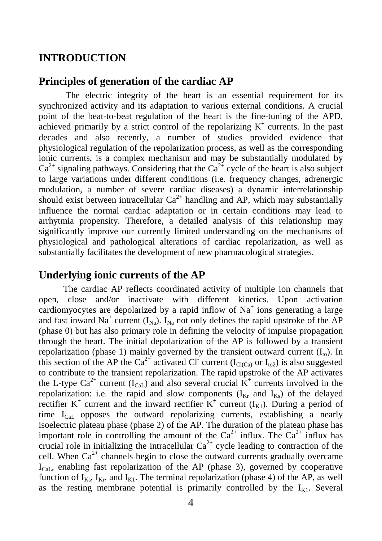## **INTRODUCTION**

## **Principles of generation of the cardiac AP**

 The electric integrity of the heart is an essential requirement for its synchronized activity and its adaptation to various external conditions. A crucial point of the beat-to-beat regulation of the heart is the fine-tuning of the APD, achieved primarily by a strict control of the repolarizing  $K^+$  currents. In the past decades and also recently, a number of studies provided evidence that physiological regulation of the repolarization process, as well as the corresponding ionic currents, is a complex mechanism and may be substantially modulated by  $Ca^{2+}$  signaling pathways. Considering that the  $Ca^{2+}$  cycle of the heart is also subject to large variations under different conditions (i.e. frequency changes, adrenergic modulation, a number of severe cardiac diseases) a dynamic interrelationship should exist between intracellular  $Ca^{2+}$  handling and AP, which may substantially influence the normal cardiac adaptation or in certain conditions may lead to arrhytmia propensity. Therefore, a detailed analysis of this relationship may significantly improve our currently limited understanding on the mechanisms of physiological and pathological alterations of cardiac repolarization, as well as substantially facilitates the development of new pharmacological strategies.

#### **Underlying ionic currents of the AP**

The cardiac AP reflects coordinated activity of multiple ion channels that open, close and/or inactivate with different kinetics. Upon activation cardiomyocytes are depolarized by a rapid inflow of  $Na<sup>+</sup>$  ions generating a large and fast inward Na<sup>+</sup> current  $(I_{Na})$ .  $I_{Na}$  not only defines the rapid upstroke of the AP (phase 0) but has also primary role in defining the velocity of impulse propagation through the heart. The initial depolarization of the AP is followed by a transient repolarization (phase 1) mainly governed by the transient outward current  $(I_{\text{to}})$ . In this section of the AP the Ca<sup>2+</sup> activated Cl<sup>-</sup> current (I<sub>Cl(Ca)</sub> or I<sub>to2</sub>) is also suggested to contribute to the transient repolarization. The rapid upstroke of the AP activates the L-type Ca<sup>2+</sup> current (I<sub>CaL</sub>) and also several crucial  $\tilde{K}^+$  currents involved in the repolarization: i.e. the rapid and slow components  $(I_{Kr}$  and  $I_{Ks})$  of the delayed rectifier  $K^+$  current and the inward rectifier  $K^+$  current  $(I_{K1})$ . During a period of time  $I_{CaI}$  opposes the outward repolarizing currents, establishing a nearly isoelectric plateau phase (phase 2) of the AP. The duration of the plateau phase has important role in controlling the amount of the  $Ca^{2+}$  influx. The  $Ca^{2+}$  influx has crucial role in initializing the intracellular  $Ca^{2+}$  cycle leading to contraction of the cell. When  $Ca^{2+}$  channels begin to close the outward currents gradually overcame  $I_{CaI}$ , enabling fast repolarization of the AP (phase 3), governed by cooperative function of  $I_{Ks}$ ,  $I_{Kr}$ , and  $I_{K1}$ . The terminal repolarization (phase 4) of the AP, as well as the resting membrane potential is primarily controlled by the  $I_{\text{K1}}$ . Several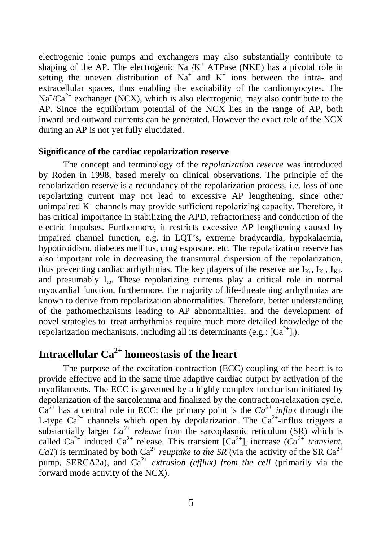electrogenic ionic pumps and exchangers may also substantially contribute to shaping of the AP. The electrogenic  $Na^+/K^+$  ATPase (NKE) has a pivotal role in setting the uneven distribution of  $Na<sup>+</sup>$  and  $K<sup>+</sup>$  ions between the intra- and extracellular spaces, thus enabling the excitability of the cardiomyocytes. The  $Na<sup>+</sup>/Ca<sup>2+</sup>$  exchanger (NCX), which is also electrogenic, may also contribute to the AP. Since the equilibrium potential of the NCX lies in the range of AP, both inward and outward currents can be generated. However the exact role of the NCX during an AP is not yet fully elucidated.

#### **Significance of the cardiac repolarization reserve**

The concept and terminology of the *repolarization reserve* was introduced by Roden in 1998, based merely on clinical observations. The principle of the repolarization reserve is a redundancy of the repolarization process, i.e. loss of one repolarizing current may not lead to excessive AP lengthening, since other unimpaired  $K^+$  channels may provide sufficient repolarizing capacity. Therefore, it has critical importance in stabilizing the APD, refractoriness and conduction of the electric impulses. Furthermore, it restricts excessive AP lengthening caused by impaired channel function, e.g. in LQT's, extreme bradycardia, hypokalaemia, hypotiroidism, diabetes mellitus, drug exposure, etc. The repolarization reserve has also important role in decreasing the transmural dispersion of the repolarization, thus preventing cardiac arrhythmias. The key players of the reserve are  $I_{K_r}$ ,  $I_{K_s}$ ,  $I_{K_1}$ , and presumably  $I_{\text{to}}$ . These repolarizing currents play a critical role in normal myocardial function, furthermore, the majority of life-threatening arrhythmias are known to derive from repolarization abnormalities. Therefore, better understanding of the pathomechanisms leading to AP abnormalities, and the development of novel strategies to treat arrhythmias require much more detailed knowledge of the repolarization mechanisms, including all its determinants (e.g.:  $[Ca^{2+}]_i$ ).

# **Intracellular Ca<sup>2</sup>***<sup>+</sup>*  **homeostasis of the heart**

The purpose of the excitation-contraction (ECC) coupling of the heart is to provide effective and in the same time adaptive cardiac output by activation of the myofilaments. The ECC is governed by a highly complex mechanism initiated by depolarization of the sarcolemma and finalized by the contraction-relaxation cycle.  $Ca^{2+}$  has a central role in ECC: the primary point is the  $Ca^{2+}$  *influx* through the L-type  $Ca^{2+}$  channels which open by depolarization. The  $Ca^{2+}$ -influx triggers a substantially larger  $Ca^{2+}$  *release* from the sarcoplasmic reticulum (SR) which is called  $Ca^{2+}$  induced  $Ca^{2+}$  release. This transient  $[Ca^{2+}]_i$  increase  $(Ca^{2+}$  transient, *CaT*) is terminated by both Ca<sup>2+</sup> *reuptake to the SR* (via the activity of the SR Ca<sup>2+</sup> pump, SERCA2a), and  $Ca^{2+}$  *extrusion (efflux) from the cell* (primarily via the forward mode activity of the NCX).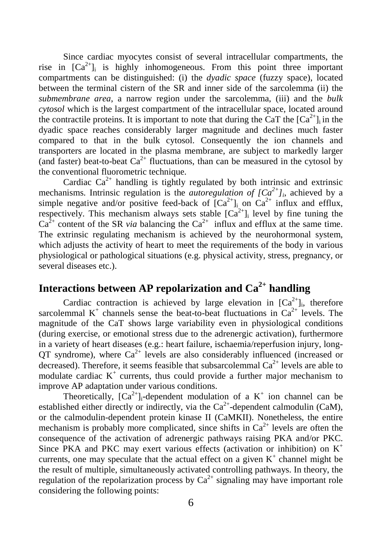Since cardiac myocytes consist of several intracellular compartments, the rise in  $[Ca^{2+}]$  is highly inhomogeneous. From this point three important compartments can be distinguished: (i) the *dyadic space* (fuzzy space), located between the terminal cistern of the SR and inner side of the sarcolemma (ii) the *submembrane area*, a narrow region under the sarcolemma, (iii) and the *bulk cytosol* which is the largest compartment of the intracellular space, located around the contractile proteins. It is important to note that during the CaT the  $Ca^{2+}$ ] in the dyadic space reaches considerably larger magnitude and declines much faster compared to that in the bulk cytosol. Consequently the ion channels and transporters are located in the plasma membrane, are subject to markedly larger (and faster) beat-to-beat  $Ca^{2+}$  fluctuations, than can be measured in the cytosol by the conventional fluorometric technique.

Cardiac  $Ca^{2+}$  handling is tightly regulated by both intrinsic and extrinsic mechanisms. Intrinsic regulation is the *autoregulation of*  $[Ca^{2+}$ *]*<sup>*i*</sup>, achieved by a simple negative and/or positive feed-back of  $[Ca^{2+}]\rightarrow$  on  $Ca^{2+}$  influx and efflux, respectively. This mechanism always sets stable  $[Ca^{2+}]_i$  level by fine tuning the  $Ca<sup>2+</sup>$  content of the SR *via* balancing the  $Ca<sup>2+</sup>$  influx and efflux at the same time. The extrinsic regulating mechanism is achieved by the neurohormonal system, which adjusts the activity of heart to meet the requirements of the body in various physiological or pathological situations (e.g. physical activity, stress, pregnancy, or several diseases etc.).

## **Interactions between AP repolarization and Ca2+ handling**

Cardiac contraction is achieved by large elevation in  $[Ca^{2+}]_i$ , therefore sarcolemmal  $K^+$  channels sense the beat-to-beat fluctuations in  $Ca^{2+}$  levels. The magnitude of the CaT shows large variability even in physiological conditions (during exercise, or emotional stress due to the adrenergic activation), furthermore in a variety of heart diseases (e.g.: heart failure, ischaemia/reperfusion injury, long-QT syndrome), where  $Ca^{2+}$  levels are also considerably influenced (increased or decreased). Therefore, it seems feasible that subsarcolemmal  $Ca^{2+}$  levels are able to modulate cardiac  $K^+$  currents, thus could provide a further major mechanism to improve AP adaptation under various conditions.

Theoretically,  $[Ca^{2+}]_i$ -dependent modulation of a  $K^+$  ion channel can be established either directly or indirectly, via the  $Ca^{2+}$ -dependent calmodulin (CaM), or the calmodulin-dependent protein kinase II (CaMKII). Nonetheless, the entire mechanism is probably more complicated, since shifts in  $Ca^{2+}$  levels are often the consequence of the activation of adrenergic pathways raising PKA and/or PKC. Since PKA and PKC may exert various effects (activation or inhibition) on  $K^+$ currents, one may speculate that the actual effect on a given  $K^+$  channel might be the result of multiple, simultaneously activated controlling pathways. In theory, the regulation of the repolarization process by  $Ca^{2+}$  signaling may have important role considering the following points: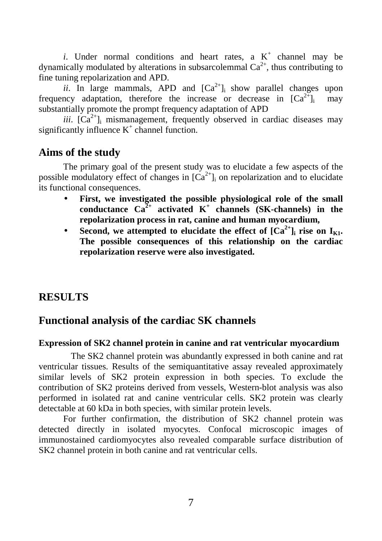$i$ . Under normal conditions and heart rates, a  $K^+$  channel may be dynamically modulated by alterations in subsarcolemmal  $Ca^{2+}$ , thus contributing to fine tuning repolarization and APD.

*ii*. In large mammals, APD and  $[Ca^{2+}]$  show parallel changes upon frequency adaptation, therefore the increase or decrease in  $[Ca^{2+}]$ ; may substantially promote the prompt frequency adaptation of APD

*iii*.  $[Ca^{2+}]$ <sub>i</sub> mismanagement, frequently observed in cardiac diseases may significantly influence  $K^+$  channel function.

## **Aims of the study**

The primary goal of the present study was to elucidate a few aspects of the possible modulatory effect of changes in  $[Ca^{2+}]_i$  on repolarization and to elucidate its functional consequences.

- **First, we investigated the possible physiological role of the small**  conductance  $Ca^{2+}$  activated  $K^+$  channels (SK-channels) in the **repolarization process in rat, canine and human myocardium,**
- Second, we attempted to elucidate the effect of  $[Ca^{2+}]\text{h}$  rise on  $I_{K1}$ . **The possible consequences of this relationship on the cardiac repolarization reserve were also investigated.**

## **RESULTS**

## **Functional analysis of the cardiac SK channels**

#### **Expression of SK2 channel protein in canine and rat ventricular myocardium**

The SK2 channel protein was abundantly expressed in both canine and rat ventricular tissues. Results of the semiquantitative assay revealed approximately similar levels of SK2 protein expression in both species. To exclude the contribution of SK2 proteins derived from vessels, Western-blot analysis was also performed in isolated rat and canine ventricular cells. SK2 protein was clearly detectable at 60 kDa in both species, with similar protein levels.

For further confirmation, the distribution of SK2 channel protein was detected directly in isolated myocytes. Confocal microscopic images of immunostained cardiomyocytes also revealed comparable surface distribution of SK2 channel protein in both canine and rat ventricular cells.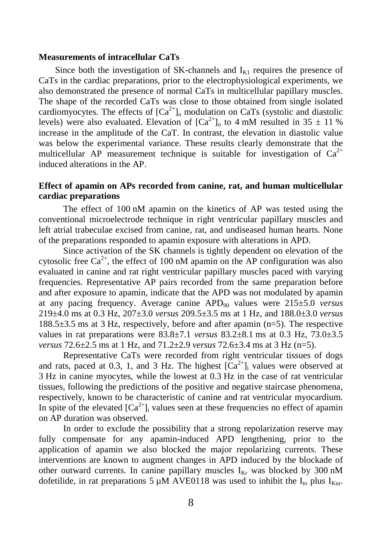#### **Measurements of intracellular CaTs**

Since both the investigation of SK-channels and  $I_{K1}$  requires the presence of CaTs in the cardiac preparations, prior to the electrophysiological experiments, we also demonstrated the presence of normal CaTs in multicellular papillary muscles. The shape of the recorded CaTs was close to those obtained from single isolated cardiomyocytes. The effects of  $[Ca^{2+}]_0$  modulation on CaTs (systolic and diastolic levels) were also evaluated. Elevation of  $[Ca^{2+}]_0$  to 4 mM resulted in 35  $\pm$  11 % increase in the amplitude of the CaT. In contrast, the elevation in diastolic value was below the experimental variance. These results clearly demonstrate that the multicellular AP measurement technique is suitable for investigation of  $Ca^{2+}$ induced alterations in the AP.

#### **Effect of apamin on APs recorded from canine, rat, and human multicellular cardiac preparations**

The effect of 100 nM apamin on the kinetics of AP was tested using the conventional microelectrode technique in right ventricular papillary muscles and left atrial trabeculae excised from canine, rat, and undiseased human hearts. None of the preparations responded to apamin exposure with alterations in APD.

Since activation of the SK channels is tightly dependent on elevation of the cytosolic free  $Ca^{2+}$ , the effect of 100 nM apamin on the AP configuration was also evaluated in canine and rat right ventricular papillary muscles paced with varying frequencies. Representative AP pairs recorded from the same preparation before and after exposure to apamin, indicate that the APD was not modulated by apamin at any pacing frequency. Average canine APD90 values were 215±5.0 *versus* 219±4.0 ms at 0.3 Hz, 207±3.0 *versus* 209.5±3.5 ms at 1 Hz, and 188.0±3.0 *versus* 188.5±3.5 ms at 3 Hz, respectively, before and after apamin (n=5). The respective values in rat preparations were 83.8±7.1 *versus* 83.2±8.1 ms at 0.3 Hz, 73.0±3.5 *versus* 72.6±2.5 ms at 1 Hz, and 71.2±2.9 *versus* 72.6±3.4 ms at 3 Hz (n=5).

Representative CaTs were recorded from right ventricular tissues of dogs and rats, paced at 0.3, 1, and 3 Hz. The highest  $[Ca^{2+}]_i$  values were observed at 3 Hz in canine myocytes, while the lowest at 0.3 Hz in the case of rat ventricular tissues, following the predictions of the positive and negative staircase phenomena, respectively, known to be characteristic of canine and rat ventricular myocardium. In spite of the elevated  $[Ca^{2+}]\$ ; values seen at these frequencies no effect of apamin on AP duration was observed.

In order to exclude the possibility that a strong repolarization reserve may fully compensate for any apamin-induced APD lengthening, prior to the application of apamin we also blocked the major repolarizing currents. These interventions are known to augment changes in APD induced by the blockade of other outward currents. In canine papillary muscles  $I_{Kr}$  was blocked by 300 nM dofetilide, in rat preparations 5  $\mu$ M AVE0118 was used to inhibit the I<sub>to</sub> plus I<sub>Kur</sub>.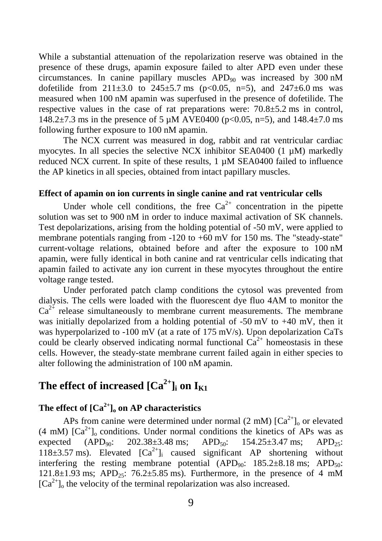While a substantial attenuation of the repolarization reserve was obtained in the presence of these drugs, apamin exposure failed to alter APD even under these circumstances. In canine papillary muscles  $APD_{90}$  was increased by 300 nM dofetilide from  $211\pm3.0$  to  $245\pm5.7$  ms (p<0.05, n=5), and  $247\pm6.0$  ms was measured when 100 nM apamin was superfused in the presence of dofetilide. The respective values in the case of rat preparations were: 70.8±5.2 ms in control, 148.2 $\pm$ 7.3 ms in the presence of 5  $\mu$ M AVE0400 (p<0.05, n=5), and 148.4 $\pm$ 7.0 ms following further exposure to 100 nM apamin.

The NCX current was measured in dog, rabbit and rat ventricular cardiac myocytes. In all species the selective NCX inhibitor SEA0400 (1 µM) markedly reduced NCX current. In spite of these results,  $1 \mu M$  SEA0400 failed to influence the AP kinetics in all species, obtained from intact papillary muscles.

#### **Effect of apamin on ion currents in single canine and rat ventricular cells**

Under whole cell conditions, the free  $Ca^{2+}$  concentration in the pipette solution was set to 900 nM in order to induce maximal activation of SK channels. Test depolarizations, arising from the holding potential of -50 mV, were applied to membrane potentials ranging from -120 to +60 mV for 150 ms. The "steady-state" current-voltage relations, obtained before and after the exposure to 100 nM apamin, were fully identical in both canine and rat ventricular cells indicating that apamin failed to activate any ion current in these myocytes throughout the entire voltage range tested.

Under perforated patch clamp conditions the cytosol was prevented from dialysis. The cells were loaded with the fluorescent dye fluo 4AM to monitor the  $Ca^{2+}$  release simultaneously to membrane current measurements. The membrane was initially depolarized from a holding potential of  $-50$  mV to  $+40$  mV, then it was hyperpolarized to -100 mV (at a rate of 175 mV/s). Upon depolarization CaTs could be clearly observed indicating normal functional  $Ca^{2+}$  homeostasis in these cells. However, the steady-state membrane current failed again in either species to alter following the administration of 100 nM apamin.

# The effect of increased  $\text{[Ca}^{2+}\text{]}$  on  $\text{I}_{\text{K1}}$

## The effect of  $[Ca^{2+}]$ **<sup>o</sup>** on AP characteristics

APs from canine were determined under normal (2 mM)  $[Ca^{2+}]_0$  or elevated (4 mM)  $[Ca^{2+}]_0$  conditions. Under normal conditions the kinetics of APs was as expected (APD<sub>90</sub>: 202.38 $\pm$ 3.48 ms; APD<sub>50</sub>: 154.25 $\pm$ 3.47 ms; APD<sub>25</sub>:  $118\pm3.57$  ms). Elevated  $[Ca^{2+}]\rightarrow$  caused significant AP shortening without interfering the resting membrane potential  $(APD<sub>90</sub>: 185.2\pm8.18 \text{ ms}; APD<sub>50</sub>:$  $121.8\pm1.93$  ms; APD<sub>25</sub>:  $76.2\pm5.85$  ms). Furthermore, in the presence of 4 mM  $[Ca^{2+}]_0$  the velocity of the terminal repolarization was also increased.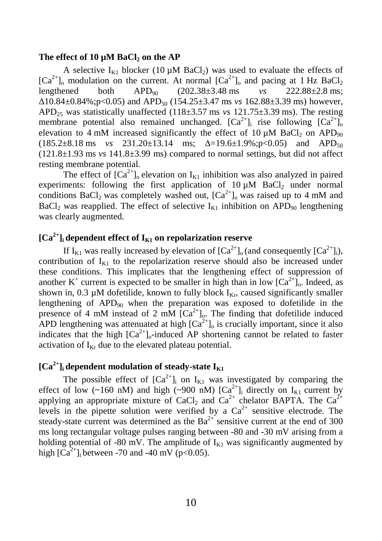#### **The effect of 10 µM BaCl2 on the AP**

A selective  $I_{K1}$  blocker (10 µM BaCl<sub>2</sub>) was used to evaluate the effects of  $[Ca^{2+}]_o$  modulation on the current. At normal  $[Ca^{2+}]_o$  and pacing at 1 Hz BaCl<sub>2</sub> lengthened both  $APD_{90}$   $(202.38\pm 3.48 \text{ ms} \text{ vs} 222.88\pm 2.8 \text{ ms})$  $\Delta$ 10.84±0.84%;p<0.05) and APD<sub>50</sub> (154.25±3.47 ms *vs* 162.88±3.39 ms) however, APD<sub>25</sub> was statistically unaffected  $(118\pm3.57 \text{ ms } v_s \frac{121.75\pm3.39 \text{ ms}}{121.75\pm3.39 \text{ ms}})$ . The resting membrane potential also remained unchanged.  $[Ca^{2+}]_i$  rise following  $[Ca^{2+}]_o$ elevation to 4 mM increased significantly the effect of 10  $\mu$ M BaCl<sub>2</sub> on APD<sub>90</sub>  $(185.2\pm8.18 \text{ ms }$  *vs*  $231.20\pm13.14 \text{ ms}$ ;  $\Delta=19.6\pm1.9\%$ ; p<0.05) and APD<sub>50</sub> (121.8±1.93 ms *vs* 141.8±3.99 ms) compared to normal settings, but did not affect resting membrane potential.

The effect of  $[Ca^{2+}]_0$  elevation on  $I_{K1}$  inhibition was also analyzed in paired experiments: following the first application of  $10 \mu M$  BaCl<sub>2</sub> under normal conditions BaCl<sub>2</sub> was completely washed out,  $[Ca^{2+}]_o$  was raised up to 4 mM and BaCl<sub>2</sub> was reapplied. The effect of selective  $I_{K1}$  inhibition on APD<sub>90</sub> lengthening was clearly augmented.

## $[Ca^{2+}$ **]**<sup>2</sup>**i** dependent effect of  $I_{K1}$  on repolarization reserve

If I<sub>K1</sub> was really increased by elevation of  $[Ca^{2+}]_0$  (and consequently  $[Ca^{2+}]_i$ ), contribution of  $I_{K1}$  to the repolarization reserve should also be increased under these conditions. This implicates that the lengthening effect of suppression of another K<sup>+</sup> current is expected to be smaller in high than in low  $[Ca^{2+}]_0$ . Indeed, as shown in, 0.3  $\mu$ M dofetilide, known to fully block  $I_{Kr}$ , caused significantly smaller lengthening of  $APD_{90}$  when the preparation was exposed to dofetilide in the presence of 4 mM instead of 2 mM  $[Ca^{2+}]_0$ . The finding that dofetilide induced APD lengthening was attenuated at high  $[Ca^{2+}]_o$  is crucially important, since it also indicates that the high  $[Ca^{2+}]_0$ -induced AP shortening cannot be related to faster activation of  $I_{Kr}$  due to the elevated plateau potential.

### $[Ca^{2+}$ **]i** dependent modulation of steady-state  $I_{K1}$

The possible effect of  $[Ca^{2+}]_i$  on  $I_{K1}$  was investigated by comparing the effect of low (~160 nM) and high (~900 nM)  $[Ca^{2+}]\rightarrow$  directly on  $I_{K1}$  current by applying an appropriate mixture of CaCl<sub>2</sub> and Ca<sup>2+</sup> chelator BAPTA. The Ca<sup>2+</sup> levels in the pipette solution were verified by a  $Ca^{2+}$  sensitive electrode. The steady-state current was determined as the  $Ba^{2+}$  sensitive current at the end of 300 ms long rectangular voltage pulses ranging between -80 and -30 mV arising from a holding potential of -80 mV. The amplitude of  $I_{K1}$  was significantly augmented by high  $[Ca^{2+}]_i$  between -70 and -40 mV (p<0.05).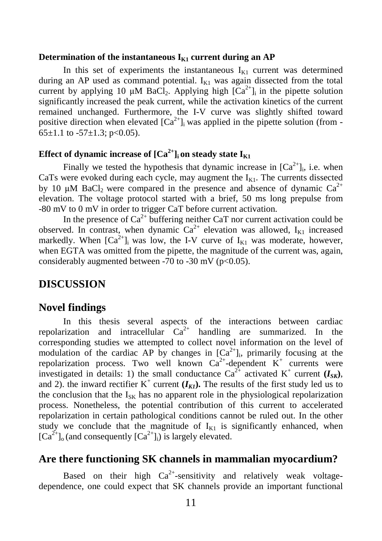#### **Determination of the instantaneous**  $I_{K1}$  **current during an AP**

In this set of experiments the instantaneous  $I_{K1}$  current was determined during an AP used as command potential.  $I_{K1}$  was again dissected from the total current by applying 10  $\mu$ M BaCl<sub>2</sub>. Applying high  $[Ca^{2+}]$ <sub>i</sub> in the pipette solution significantly increased the peak current, while the activation kinetics of the current remained unchanged. Furthermore, the I-V curve was slightly shifted toward positive direction when elevated  $[Ca^{2+}]$ <sub>i</sub> was applied in the pipette solution (from -65 $\pm$ 1.1 to -57 $\pm$ 1.3; p<0.05).

## **Effect of dynamic increase of**  $\left[Ca^{2+}\right]$  **<b>on steady state I**<sub>K1</sub>

Finally we tested the hypothesis that dynamic increase in  $[Ca^{2+}]_i$ , i.e. when CaTs were evoked during each cycle, may augment the  $I_{K1}$ . The currents dissected by 10  $\mu$ M BaCl<sub>2</sub> were compared in the presence and absence of dynamic Ca<sup>2+</sup> elevation. The voltage protocol started with a brief, 50 ms long prepulse from -80 mV to 0 mV in order to trigger CaT before current activation.

In the presence of  $Ca^{2+}$  buffering neither CaT nor current activation could be observed. In contrast, when dynamic  $Ca^{2+}$  elevation was allowed,  $I_{K1}$  increased markedly. When  $[Ca^{2+}]$ ; was low, the I-V curve of  $I_{K1}$  was moderate, however, when EGTA was omitted from the pipette, the magnitude of the current was, again, considerably augmented between -70 to -30 mV ( $p<0.05$ ).

## **DISCUSSION**

### **Novel findings**

In this thesis several aspects of the interactions between cardiac repolarization and intracellular  $Ca^{2+}$  handling are summarized. In the corresponding studies we attempted to collect novel information on the level of modulation of the cardiac AP by changes in  $[Ca^{2+}]_i$ , primarily focusing at the repolarization process. Two well known  $Ca^{2+}$ -dependent  $K^+$  currents were investigated in details: 1) the small conductance  $Ca^{2+}$  activated K<sup>+</sup> current  $(I_{SK})$ , and 2). the inward rectifier  $K^+$  current  $(I_{K1})$ . The results of the first study led us to the conclusion that the  $I_{SK}$  has no apparent role in the physiological repolarization process. Nonetheless, the potential contribution of this current to accelerated repolarization in certain pathological conditions cannot be ruled out. In the other study we conclude that the magnitude of  $I_{K1}$  is significantly enhanced, when  $[Ca^{2+}]_0$  (and consequently  $[Ca^{2+}]_i$ ) is largely elevated.

## **Are there functioning SK channels in mammalian myocardium?**

Based on their high  $Ca^{2+}$ -sensitivity and relatively weak voltagedependence, one could expect that SK channels provide an important functional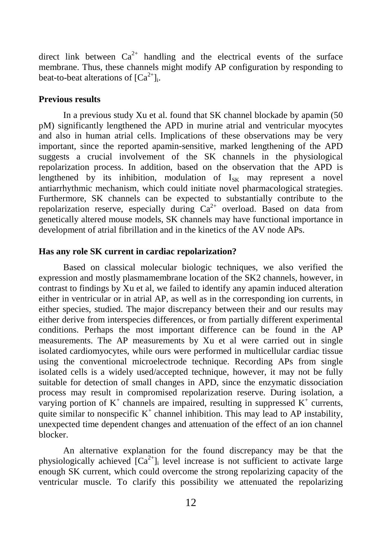direct link between  $Ca^{2+}$  handling and the electrical events of the surface membrane. Thus, these channels might modify AP configuration by responding to beat-to-beat alterations of  $[Ca^{2+}]_i$ .

#### **Previous results**

In a previous study Xu et al. found that SK channel blockade by apamin (50 pM) significantly lengthened the APD in murine atrial and ventricular myocytes and also in human atrial cells. Implications of these observations may be very important, since the reported apamin-sensitive, marked lengthening of the APD suggests a crucial involvement of the SK channels in the physiological repolarization process. In addition, based on the observation that the APD is lengthened by its inhibition, modulation of  $I_{SK}$  may represent a novel antiarrhythmic mechanism, which could initiate novel pharmacological strategies. Furthermore, SK channels can be expected to substantially contribute to the repolarization reserve, especially during  $Ca^{2+}$  overload. Based on data from genetically altered mouse models, SK channels may have functional importance in development of atrial fibrillation and in the kinetics of the AV node APs.

#### **Has any role SK current in cardiac repolarization?**

Based on classical molecular biologic techniques, we also verified the expression and mostly plasmamembrane location of the SK2 channels, however, in contrast to findings by Xu et al, we failed to identify any apamin induced alteration either in ventricular or in atrial AP, as well as in the corresponding ion currents, in either species, studied. The major discrepancy between their and our results may either derive from interspecies differences, or from partially different experimental conditions. Perhaps the most important difference can be found in the AP measurements. The AP measurements by Xu et al were carried out in single isolated cardiomyocytes, while ours were performed in multicellular cardiac tissue using the conventional microelectrode technique. Recording APs from single isolated cells is a widely used/accepted technique, however, it may not be fully suitable for detection of small changes in APD, since the enzymatic dissociation process may result in compromised repolarization reserve. During isolation, a varying portion of  $K^+$  channels are impaired, resulting in suppressed  $K^+$  currents, quite similar to nonspecific  $K^+$  channel inhibition. This may lead to AP instability, unexpected time dependent changes and attenuation of the effect of an ion channel blocker.

An alternative explanation for the found discrepancy may be that the physiologically achieved  $[Ca^{2+}]_i$  level increase is not sufficient to activate large enough SK current, which could overcome the strong repolarizing capacity of the ventricular muscle. To clarify this possibility we attenuated the repolarizing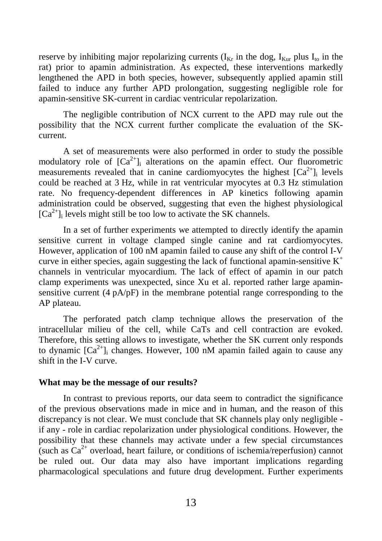reserve by inhibiting major repolarizing currents  $(I_{K_r}$  in the dog,  $I_{K_{\text{ur}}}$  plus  $I_{\text{to}}$  in the rat) prior to apamin administration. As expected, these interventions markedly lengthened the APD in both species, however, subsequently applied apamin still failed to induce any further APD prolongation, suggesting negligible role for apamin-sensitive SK-current in cardiac ventricular repolarization.

The negligible contribution of NCX current to the APD may rule out the possibility that the NCX current further complicate the evaluation of the SKcurrent.

A set of measurements were also performed in order to study the possible modulatory role of  $[Ca^{2+}]\rightarrow$  alterations on the apamin effect. Our fluorometric measurements revealed that in canine cardiomyocytes the highest  $[Ca^{2+}]_i$  levels could be reached at 3 Hz, while in rat ventricular myocytes at 0.3 Hz stimulation rate. No frequency-dependent differences in AP kinetics following apamin administration could be observed, suggesting that even the highest physiological  $[Ca^{2+}]$ <sub>i</sub> levels might still be too low to activate the SK channels.

In a set of further experiments we attempted to directly identify the apamin sensitive current in voltage clamped single canine and rat cardiomyocytes. However, application of 100 nM apamin failed to cause any shift of the control I-V curve in either species, again suggesting the lack of functional apamin-sensitive  $K^+$ channels in ventricular myocardium. The lack of effect of apamin in our patch clamp experiments was unexpected, since Xu et al. reported rather large apaminsensitive current  $(4 pA/pF)$  in the membrane potential range corresponding to the AP plateau.

The perforated patch clamp technique allows the preservation of the intracellular milieu of the cell, while CaTs and cell contraction are evoked. Therefore, this setting allows to investigate, whether the SK current only responds to dynamic  $[Ca^{2+}]_i$  changes. However, 100 nM apamin failed again to cause any shift in the I-V curve.

#### **What may be the message of our results?**

In contrast to previous reports, our data seem to contradict the significance of the previous observations made in mice and in human, and the reason of this discrepancy is not clear. We must conclude that SK channels play only negligible if any - role in cardiac repolarization under physiological conditions. However, the possibility that these channels may activate under a few special circumstances (such as  $Ca^{2+}$  overload, heart failure, or conditions of ischemia/reperfusion) cannot be ruled out. Our data may also have important implications regarding pharmacological speculations and future drug development. Further experiments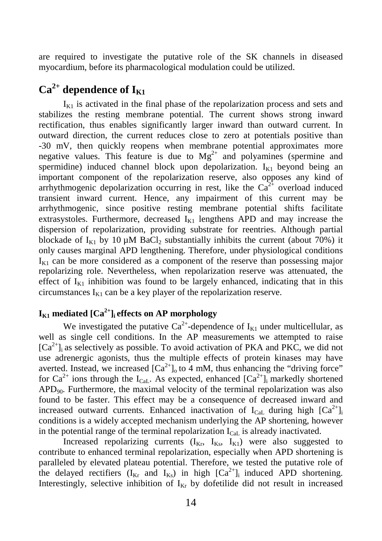are required to investigate the putative role of the SK channels in diseased myocardium, before its pharmacological modulation could be utilized.

## $Ca^{2+}$  dependence of  $I_{K1}$

 $I_{K1}$  is activated in the final phase of the repolarization process and sets and stabilizes the resting membrane potential. The current shows strong inward rectification, thus enables significantly larger inward than outward current. In outward direction, the current reduces close to zero at potentials positive than -30 mV, then quickly reopens when membrane potential approximates more negative values. This feature is due to  $Mg^{2+}$  and polyamines (spermine and spermidine) induced channel block upon depolarization.  $I_{K1}$  beyond being an important component of the repolarization reserve, also opposes any kind of arrhythmogenic depolarization occurring in rest, like the  $Ca^{2+}$  overload induced transient inward current. Hence, any impairment of this current may be arrhythmogenic, since positive resting membrane potential shifts facilitate extrasystoles. Furthermore, decreased  $I_{K1}$  lengthens APD and may increase the dispersion of repolarization, providing substrate for reentries. Although partial blockade of  $I_{K1}$  by 10  $\mu$ M BaCl<sub>2</sub> substantially inhibits the current (about 70%) it only causes marginal APD lengthening. Therefore, under physiological conditions  $I_{K_1}$  can be more considered as a component of the reserve than possessing major repolarizing role. Nevertheless, when repolarization reserve was attenuated, the effect of  $I_{K1}$  inhibition was found to be largely enhanced, indicating that in this circumstances  $I_{K1}$  can be a key player of the repolarization reserve.

## $\mathbf{I}_{\mathbf{K1}}$  mediated  $[\text{Ca}^{2+}]$ **;** effects on AP morphology

We investigated the putative Ca<sup>2+</sup>-dependence of  $I_{K1}$  under multicellular, as well as single cell conditions. In the AP measurements we attempted to raise  $[Ca^{2+}]$  as selectively as possible. To avoid activation of PKA and PKC, we did not use adrenergic agonists, thus the multiple effects of protein kinases may have averted. Instead, we increased  $\lbrack Ca^{2+} \rbrack$  to 4 mM, thus enhancing the "driving force" for  $Ca^{2+}$  ions through the I<sub>CaL</sub>. As expected, enhanced  $[Ca^{2+}]$ <sub>i</sub> markedly shortened  $APD<sub>90</sub>$ . Furthermore, the maximal velocity of the terminal repolarization was also found to be faster. This effect may be a consequence of decreased inward and increased outward currents. Enhanced inactivation of  $I_{CaL}$  during high  $[Ca^{2+}]\mathbf{i}$ conditions is a widely accepted mechanism underlying the AP shortening, however in the potential range of the terminal repolarization  $I_{\text{Cal}}$  is already inactivated.

Increased repolarizing currents  $(I_{Kr}$ ,  $I_{Ks}$ ,  $I_{K1})$  were also suggested to contribute to enhanced terminal repolarization, especially when APD shortening is paralleled by elevated plateau potential. Therefore, we tested the putative role of the delayed rectifiers  $(I_{Kr}$  and  $I_{Ks}$ ) in high  $[Ca^{2+}]_i$  induced APD shortening. Interestingly, selective inhibition of  $I_{Kr}$  by dofetilide did not result in increased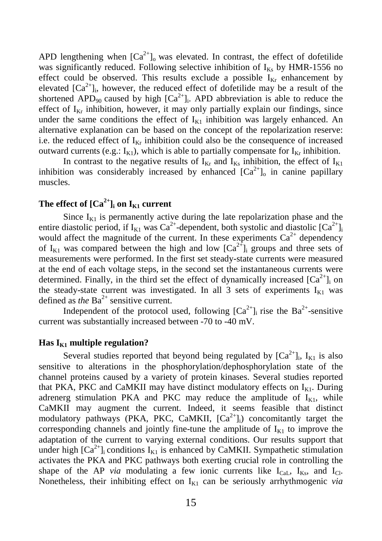APD lengthening when  $\lbrack Ca^{2+} \rbrack_0$  was elevated. In contrast, the effect of dofetilide was significantly reduced. Following selective inhibition of  $I_{Ks}$  by HMR-1556 no effect could be observed. This results exclude a possible  $I_{K_r}$  enhancement by elevated  $[Ca^{2+}]$ <sub>i</sub>, however, the reduced effect of dofetilide may be a result of the shortened APD<sub>90</sub> caused by high  $[Ca^{2+}]_i$ . APD abbreviation is able to reduce the effect of  $I_{Kr}$  inhibition, however, it may only partially explain our findings, since under the same conditions the effect of  $I_{K1}$  inhibition was largely enhanced. An alternative explanation can be based on the concept of the repolarization reserve: i.e. the reduced effect of  $I_{Kr}$  inhibition could also be the consequence of increased outward currents (e.g.:  $I_{K1}$ ), which is able to partially compensate for  $I_{Kr}$  inhibition.

In contrast to the negative results of  $I_{Kr}$  and  $I_{Ks}$  inhibition, the effect of  $I_{K1}$ inhibition was considerably increased by enhanced  $[Ca^{2+}]_o$  in canine papillary muscles.

## The effect of  $\left[Ca^{2+}\right]_i$  on  $I_{K1}$  current

Since  $I_{K1}$  is permanently active during the late repolarization phase and the entire diastolic period, if  $I_{K1}$  was  $Ca^{2+}$ -dependent, both systolic and diastolic  $[Ca^{2+}]\cdot$ would affect the magnitude of the current. In these experiments  $Ca^{2+}$  dependency of I<sub>K1</sub> was compared between the high and low  $[Ca^{2+}]_i$  groups and three sets of measurements were performed. In the first set steady-state currents were measured at the end of each voltage steps, in the second set the instantaneous currents were determined. Finally, in the third set the effect of dynamically increased  $[Ca^{2+}]$  on the steady-state current was investigated. In all  $\overline{3}$  sets of experiments I<sub>K1</sub> was defined as *the*  $Ba^{2+}$  sensitive current.

Independent of the protocol used, following  $[Ca^{2+}]$  rise the  $Ba^{2+}$ -sensitive current was substantially increased between -70 to -40 mV.

#### **Has IK1 multiple regulation?**

Several studies reported that beyond being regulated by  $[Ca^{2+}]\mathbf{I}$ ,  $I_{K1}$  is also sensitive to alterations in the phosphorylation/dephosphorylation state of the channel proteins caused by a variety of protein kinases. Several studies reported that PKA, PKC and CaMKII may have distinct modulatory effects on  $I_{K1}$ . During adrenerg stimulation PKA and PKC may reduce the amplitude of  $I_{K1}$ , while CaMKII may augment the current. Indeed, it seems feasible that distinct modulatory pathways (PKA, PKC, CaMKII,  $[Ca^{2+}]\text{;}$ ) concomitantly target the corresponding channels and jointly fine-tune the amplitude of  $I_{K1}$  to improve the adaptation of the current to varying external conditions. Our results support that under high  $[Ca^{2+}]$ ; conditions  $I_{K1}$  is enhanced by CaMKII. Sympathetic stimulation activates the PKA and PKC pathways both exerting crucial role in controlling the shape of the AP *via* modulating a few ionic currents like  $I_{CaL}$ ,  $I_{Ks}$ , and  $I_{Cl}$ . Nonetheless, their inhibiting effect on  $I_{K1}$  can be seriously arrhythmogenic *via*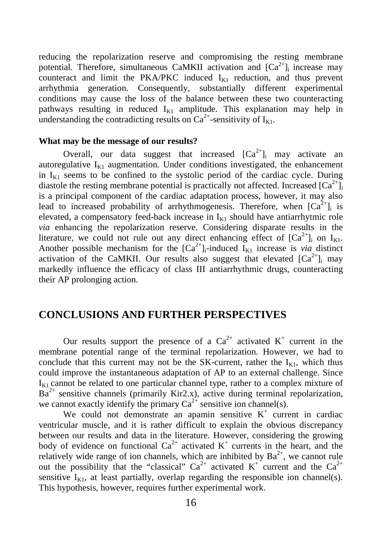reducing the repolarization reserve and compromising the resting membrane potential. Therefore, simultaneous CaMKII activation and  $[Ca^{2+}]$  increase may counteract and limit the PKA/PKC induced  $I_{K1}$  reduction, and thus prevent arrhythmia generation. Consequently, substantially different experimental conditions may cause the loss of the balance between these two counteracting pathways resulting in reduced  $I_{K1}$  amplitude. This explanation may help in understanding the contradicting results on  $Ca^{2+}$ -sensitivity of  $I_{K1}$ .

#### **What may be the message of our results?**

Overall, our data suggest that increased  $[Ca<sup>2+</sup>]$  may activate an autoregulative  $I_{K1}$  augmentation. Under conditions investigated, the enhancement in  $I_{K1}$  seems to be confined to the systolic period of the cardiac cycle. During diastole the resting membrane potential is practically not affected. Increased  $[Ca^{2+}]$ is a principal component of the cardiac adaptation process, however, it may also lead to increased probability of arrhythmogenesis. Therefore, when  $[Ca^{2+}]_i$  is elevated, a compensatory feed-back increase in  $I_{K1}$  should have antiarrhytmic role *via* enhancing the repolarization reserve. Considering disparate results in the literature, we could not rule out any direct enhancing effect of  $[Ca^{2+}]_i$  on  $I_{K1}$ . Another possible mechanism for the  $[Ca^{2+}]_i$ -induced  $\overline{I}_{K1}$  increase is *via* distinct activation of the CaMKII. Our results also suggest that elevated  $[Ca^{2+}]_i$  may markedly influence the efficacy of class III antiarrhythmic drugs, counteracting their AP prolonging action.

## **CONCLUSIONS AND FURTHER PERSPECTIVES**

Our results support the presence of a  $Ca^{2+}$  activated  $K^+$  current in the membrane potential range of the terminal repolarization. However, we had to conclude that this current may not be the SK-current, rather the  $I_{K1}$ , which thus could improve the instantaneous adaptation of AP to an external challenge. Since  $I_{K1}$  cannot be related to one particular channel type, rather to a complex mixture of  $Ba^{2+}$  sensitive channels (primarily Kir2.x), active during terminal repolarization, we cannot exactly identify the primary  $Ca^{2+}$  sensitive ion channel(s).

We could not demonstrate an apamin sensitive  $K^+$  current in cardiac ventricular muscle, and it is rather difficult to explain the obvious discrepancy between our results and data in the literature. However, considering the growing body of evidence on functional  $Ca^{2+}$  activated  $K^+$  currents in the heart, and the relatively wide range of ion channels, which are inhibited by  $Ba^{2+}$ , we cannot rule out the possibility that the "classical"  $Ca^{2+}$  activated  $K^+$  current and the  $Ca^{2+}$ sensitive  $I_{K1}$ , at least partially, overlap regarding the responsible ion channel(s). This hypothesis, however, requires further experimental work.